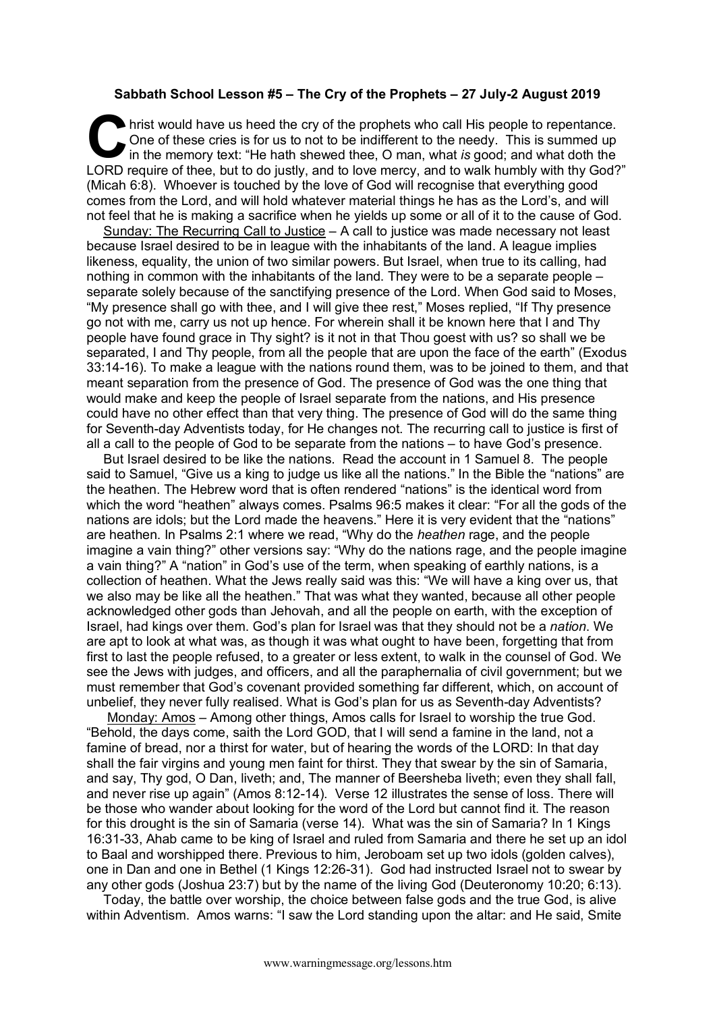## **Sabbath School Lesson #5 – The Cry of the Prophets – 27 July-2 August 2019**

hrist would have us heed the cry of the prophets who call His people to repentance.<br>
One of these cries is for us to not to be indifferent to the needy. This is summed up<br>
in the memory text: "He hath shewed thee, O man, w One of these cries is for us to not to be indifferent to the needy. This is summed up in the memory text: "He hath shewed thee, O man, what *is* good; and what doth the LORD require of thee, but to do justly, and to love mercy, and to walk humbly with thy God?" (Micah 6:8). Whoever is touched by the love of God will recognise that everything good comes from the Lord, and will hold whatever material things he has as the Lord's, and will not feel that he is making a sacrifice when he yields up some or all of it to the cause of God.

Sunday: The Recurring Call to Justice – A call to justice was made necessary not least because Israel desired to be in league with the inhabitants of the land. A league implies likeness, equality, the union of two similar powers. But Israel, when true to its calling, had nothing in common with the inhabitants of the land. They were to be a separate people – separate solely because of the sanctifying presence of the Lord. When God said to Moses, "My presence shall go with thee, and I will give thee rest," Moses replied, "If Thy presence go not with me, carry us not up hence. For wherein shall it be known here that I and Thy people have found grace in Thy sight? is it not in that Thou goest with us? so shall we be separated, I and Thy people, from all the people that are upon the face of the earth" (Exodus 33:14-16). To make a league with the nations round them, was to be joined to them, and that meant separation from the presence of God. The presence of God was the one thing that would make and keep the people of Israel separate from the nations, and His presence could have no other effect than that very thing. The presence of God will do the same thing for Seventh-day Adventists today, for He changes not. The recurring call to justice is first of all a call to the people of God to be separate from the nations – to have God's presence.

But Israel desired to be like the nations. Read the account in 1 Samuel 8. The people said to Samuel, "Give us a king to judge us like all the nations." In the Bible the "nations" are the heathen. The Hebrew word that is often rendered "nations" is the identical word from which the word "heathen" always comes. Psalms 96:5 makes it clear: "For all the gods of the nations are idols; but the Lord made the heavens." Here it is very evident that the "nations" are heathen. In Psalms 2:1 where we read, "Why do the *heathen* rage, and the people imagine a vain thing?" other versions say: "Why do the nations rage, and the people imagine a vain thing?" A "nation" in God's use of the term, when speaking of earthly nations, is a collection of heathen. What the Jews really said was this: "We will have a king over us, that we also may be like all the heathen." That was what they wanted, because all other people acknowledged other gods than Jehovah, and all the people on earth, with the exception of Israel, had kings over them. God's plan for Israel was that they should not be a *nation*. We are apt to look at what was, as though it was what ought to have been, forgetting that from first to last the people refused, to a greater or less extent, to walk in the counsel of God. We see the Jews with judges, and officers, and all the paraphernalia of civil government; but we must remember that God's covenant provided something far different, which, on account of unbelief, they never fully realised. What is God's plan for us as Seventh-day Adventists?

Monday: Amos – Among other things, Amos calls for Israel to worship the true God. "Behold, the days come, saith the Lord GOD, that I will send a famine in the land, not a famine of bread, nor a thirst for water, but of hearing the words of the LORD: In that day shall the fair virgins and young men faint for thirst. They that swear by the sin of Samaria, and say, Thy god, O Dan, liveth; and, The manner of Beersheba liveth; even they shall fall, and never rise up again" (Amos 8:12-14). Verse 12 illustrates the sense of loss. There will be those who wander about looking for the word of the Lord but cannot find it. The reason for this drought is the sin of Samaria (verse 14). What was the sin of Samaria? In 1 Kings 16:31-33, Ahab came to be king of Israel and ruled from Samaria and there he set up an idol to Baal and worshipped there. Previous to him, Jeroboam set up two idols (golden calves), one in Dan and one in Bethel (1 Kings 12:26-31). God had instructed Israel not to swear by any other gods (Joshua 23:7) but by the name of the living God (Deuteronomy 10:20; 6:13).

Today, the battle over worship, the choice between false gods and the true God, is alive within Adventism. Amos warns: "I saw the Lord standing upon the altar: and He said, Smite